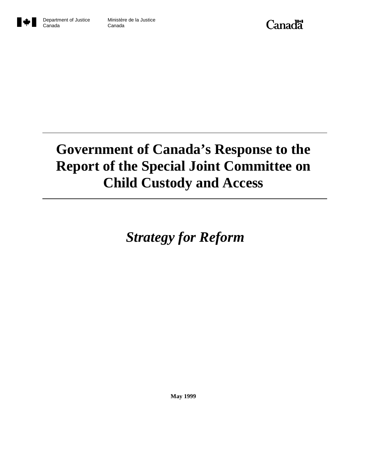



Canada

# **Government of Canada's Response to the Report of the Special Joint Committee on Child Custody and Access**

 *Strategy for Reform*

**May 1999**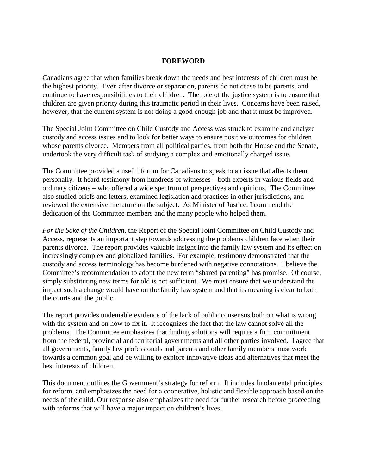#### **FOREWORD**

Canadians agree that when families break down the needs and best interests of children must be the highest priority. Even after divorce or separation, parents do not cease to be parents, and continue to have responsibilities to their children. The role of the justice system is to ensure that children are given priority during this traumatic period in their lives. Concerns have been raised, however, that the current system is not doing a good enough job and that it must be improved.

The Special Joint Committee on Child Custody and Access was struck to examine and analyze custody and access issues and to look for better ways to ensure positive outcomes for children whose parents divorce. Members from all political parties, from both the House and the Senate, undertook the very difficult task of studying a complex and emotionally charged issue.

The Committee provided a useful forum for Canadians to speak to an issue that affects them personally. It heard testimony from hundreds of witnesses – both experts in various fields and ordinary citizens – who offered a wide spectrum of perspectives and opinions. The Committee also studied briefs and letters, examined legislation and practices in other jurisdictions, and reviewed the extensive literature on the subject. As Minister of Justice, I commend the dedication of the Committee members and the many people who helped them.

*For the Sake of the Children,* the Report of the Special Joint Committee on Child Custody and Access, represents an important step towards addressing the problems children face when their parents divorce. The report provides valuable insight into the family law system and its effect on increasingly complex and globalized families. For example, testimony demonstrated that the custody and access terminology has become burdened with negative connotations. I believe the Committee's recommendation to adopt the new term "shared parenting" has promise. Of course, simply substituting new terms for old is not sufficient. We must ensure that we understand the impact such a change would have on the family law system and that its meaning is clear to both the courts and the public.

The report provides undeniable evidence of the lack of public consensus both on what is wrong with the system and on how to fix it. It recognizes the fact that the law cannot solve all the problems. The Committee emphasizes that finding solutions will require a firm commitment from the federal, provincial and territorial governments and all other parties involved. I agree that all governments, family law professionals and parents and other family members must work towards a common goal and be willing to explore innovative ideas and alternatives that meet the best interests of children.

This document outlines the Government's strategy for reform. It includes fundamental principles for reform, and emphasizes the need for a cooperative, holistic and flexible approach based on the needs of the child. Our response also emphasizes the need for further research before proceeding with reforms that will have a major impact on children's lives.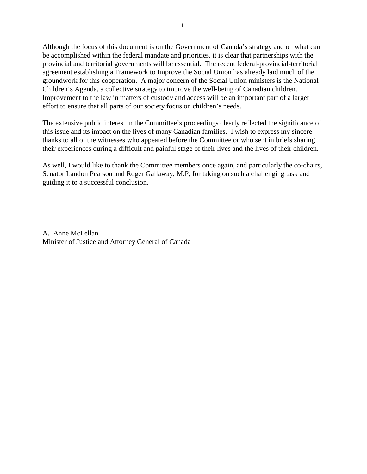Although the focus of this document is on the Government of Canada's strategy and on what can be accomplished within the federal mandate and priorities, it is clear that partnerships with the provincial and territorial governments will be essential. The recent federal-provincial-territorial agreement establishing a Framework to Improve the Social Union has already laid much of the groundwork for this cooperation. A major concern of the Social Union ministers is the National Children's Agenda, a collective strategy to improve the well-being of Canadian children. Improvement to the law in matters of custody and access will be an important part of a larger effort to ensure that all parts of our society focus on children's needs.

The extensive public interest in the Committee's proceedings clearly reflected the significance of this issue and its impact on the lives of many Canadian families. I wish to express my sincere thanks to all of the witnesses who appeared before the Committee or who sent in briefs sharing their experiences during a difficult and painful stage of their lives and the lives of their children.

As well, I would like to thank the Committee members once again, and particularly the co-chairs, Senator Landon Pearson and Roger Gallaway, M.P, for taking on such a challenging task and guiding it to a successful conclusion.

A. Anne McLellan Minister of Justice and Attorney General of Canada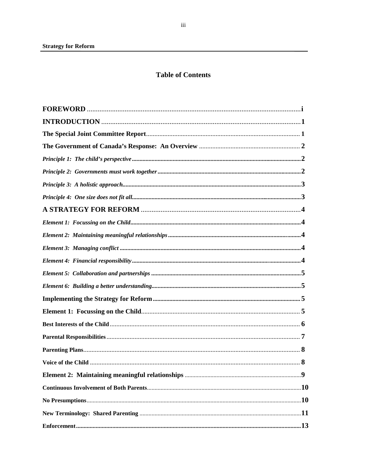# **Table of Contents**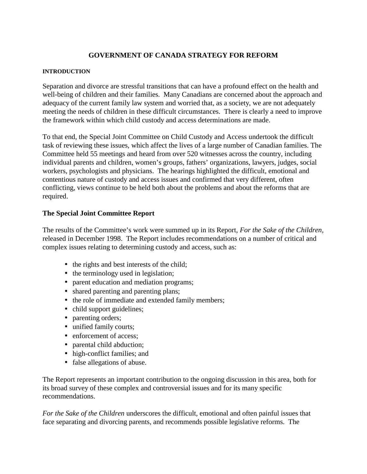# **GOVERNMENT OF CANADA STRATEGY FOR REFORM**

## **INTRODUCTION**

Separation and divorce are stressful transitions that can have a profound effect on the health and well-being of children and their families. Many Canadians are concerned about the approach and adequacy of the current family law system and worried that, as a society, we are not adequately meeting the needs of children in these difficult circumstances. There is clearly a need to improve the framework within which child custody and access determinations are made.

To that end, the Special Joint Committee on Child Custody and Access undertook the difficult task of reviewing these issues, which affect the lives of a large number of Canadian families. The Committee held 55 meetings and heard from over 520 witnesses across the country, including individual parents and children, women's groups, fathers' organizations, lawyers, judges, social workers, psychologists and physicians. The hearings highlighted the difficult, emotional and contentious nature of custody and access issues and confirmed that very different, often conflicting, views continue to be held both about the problems and about the reforms that are required.

# **The Special Joint Committee Report**

The results of the Committee's work were summed up in its Report, *For the Sake of the Children,* released in December 1998. The Report includes recommendations on a number of critical and complex issues relating to determining custody and access, such as:

- the rights and best interests of the child;
- the terminology used in legislation;
- parent education and mediation programs;
- shared parenting and parenting plans;
- the role of immediate and extended family members;
- child support guidelines;
- parenting orders;
- unified family courts;
- enforcement of access;
- parental child abduction;
- high-conflict families; and
- false allegations of abuse.

The Report represents an important contribution to the ongoing discussion in this area, both for its broad survey of these complex and controversial issues and for its many specific recommendations.

*For the Sake of the Children* underscores the difficult, emotional and often painful issues that face separating and divorcing parents, and recommends possible legislative reforms. The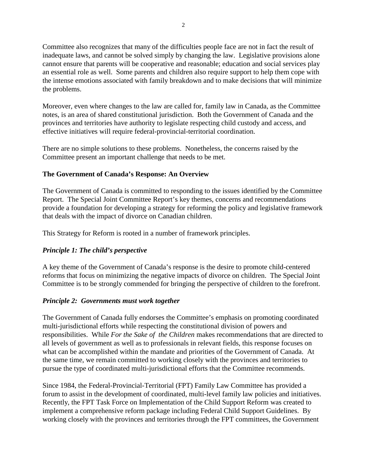Committee also recognizes that many of the difficulties people face are not in fact the result of inadequate laws, and cannot be solved simply by changing the law. Legislative provisions alone cannot ensure that parents will be cooperative and reasonable; education and social services play an essential role as well. Some parents and children also require support to help them cope with the intense emotions associated with family breakdown and to make decisions that will minimize the problems.

Moreover, even where changes to the law are called for, family law in Canada, as the Committee notes, is an area of shared constitutional jurisdiction. Both the Government of Canada and the provinces and territories have authority to legislate respecting child custody and access, and effective initiatives will require federal-provincial-territorial coordination.

There are no simple solutions to these problems. Nonetheless, the concerns raised by the Committee present an important challenge that needs to be met.

# **The Government of Canada's Response: An Overview**

The Government of Canada is committed to responding to the issues identified by the Committee Report. The Special Joint Committee Report's key themes, concerns and recommendations provide a foundation for developing a strategy for reforming the policy and legislative framework that deals with the impact of divorce on Canadian children.

This Strategy for Reform is rooted in a number of framework principles.

# *Principle 1: The child's perspective*

A key theme of the Government of Canada's response is the desire to promote child-centered reforms that focus on minimizing the negative impacts of divorce on children. The Special Joint Committee is to be strongly commended for bringing the perspective of children to the forefront.

## *Principle 2: Governments must work together*

The Government of Canada fully endorses the Committee's emphasis on promoting coordinated multi-jurisdictional efforts while respecting the constitutional division of powers and responsibilities. While *For the Sake of the Children* makes recommendations that are directed to all levels of government as well as to professionals in relevant fields, this response focuses on what can be accomplished within the mandate and priorities of the Government of Canada. At the same time, we remain committed to working closely with the provinces and territories to pursue the type of coordinated multi-jurisdictional efforts that the Committee recommends.

Since 1984, the Federal-Provincial-Territorial (FPT) Family Law Committee has provided a forum to assist in the development of coordinated, multi-level family law policies and initiatives. Recently, the FPT Task Force on Implementation of the Child Support Reform was created to implement a comprehensive reform package including Federal Child Support Guidelines. By working closely with the provinces and territories through the FPT committees, the Government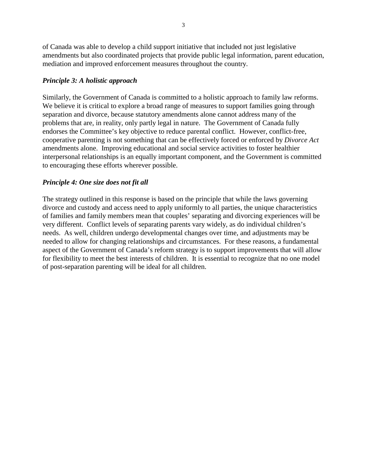of Canada was able to develop a child support initiative that included not just legislative amendments but also coordinated projects that provide public legal information, parent education, mediation and improved enforcement measures throughout the country.

# *Principle 3: A holistic approach*

Similarly, the Government of Canada is committed to a holistic approach to family law reforms. We believe it is critical to explore a broad range of measures to support families going through separation and divorce, because statutory amendments alone cannot address many of the problems that are, in reality, only partly legal in nature. The Government of Canada fully endorses the Committee's key objective to reduce parental conflict. However, conflict-free, cooperative parenting is not something that can be effectively forced or enforced by *Divorce Act* amendments alone. Improving educational and social service activities to foster healthier interpersonal relationships is an equally important component, and the Government is committed to encouraging these efforts wherever possible.

# *Principle 4: One size does not fit all*

The strategy outlined in this response is based on the principle that while the laws governing divorce and custody and access need to apply uniformly to all parties, the unique characteristics of families and family members mean that couples' separating and divorcing experiences will be very different. Conflict levels of separating parents vary widely, as do individual children's needs. As well, children undergo developmental changes over time, and adjustments may be needed to allow for changing relationships and circumstances. For these reasons, a fundamental aspect of the Government of Canada's reform strategy is to support improvements that will allow for flexibility to meet the best interests of children. It is essential to recognize that no one model of post-separation parenting will be ideal for all children.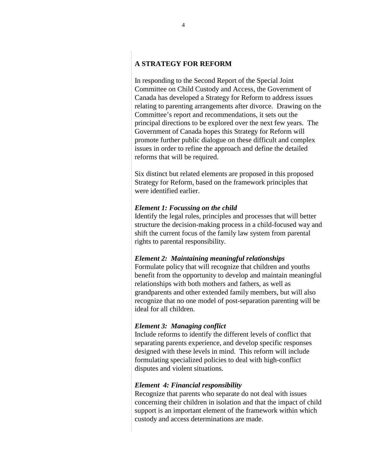# **A STRATEGY FOR REFORM**

In responding to the Second Report of the Special Joint Committee on Child Custody and Access, the Government of Canada has developed a Strategy for Reform to address issues relating to parenting arrangements after divorce. Drawing on the Committee's report and recommendations, it sets out the principal directions to be explored over the next few years. The Government of Canada hopes this Strategy for Reform will promote further public dialogue on these difficult and complex issues in order to refine the approach and define the detailed reforms that will be required.

Six distinct but related elements are proposed in this proposed Strategy for Reform, based on the framework principles that were identified earlier.

#### *Element 1: Focussing on the child*

Identify the legal rules, principles and processes that will better structure the decision-making process in a child-focused way and shift the current focus of the family law system from parental rights to parental responsibility.

#### *Element 2: Maintaining meaningful relationships*

Formulate policy that will recognize that children and youths benefit from the opportunity to develop and maintain meaningful relationships with both mothers and fathers, as well as grandparents and other extended family members, but will also recognize that no one model of post-separation parenting will be ideal for all children.

#### *Element 3: Managing conflict*

Include reforms to identify the different levels of conflict that separating parents experience, and develop specific responses designed with these levels in mind. This reform will include formulating specialized policies to deal with high-conflict disputes and violent situations.

#### *Element 4: Financial responsibility*

Recognize that parents who separate do not deal with issues concerning their children in isolation and that the impact of child support is an important element of the framework within which custody and access determinations are made.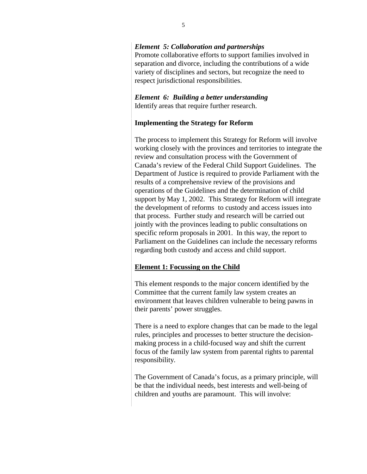## *Element 5: Collaboration and partnerships*

Promote collaborative efforts to support families involved in separation and divorce, including the contributions of a wide variety of disciplines and sectors, but recognize the need to respect jurisdictional responsibilities.

# *Element 6: Building a better understanding* Identify areas that require further research.

## **Implementing the Strategy for Reform**

The process to implement this Strategy for Reform will involve working closely with the provinces and territories to integrate the review and consultation process with the Government of Canada's review of the Federal Child Support Guidelines. The Department of Justice is required to provide Parliament with the results of a comprehensive review of the provisions and operations of the Guidelines and the determination of child support by May 1, 2002. This Strategy for Reform will integrate the development of reforms to custody and access issues into that process. Further study and research will be carried out jointly with the provinces leading to public consultations on specific reform proposals in 2001. In this way, the report to Parliament on the Guidelines can include the necessary reforms regarding both custody and access and child support.

## **Element 1: Focussing on the Child**

This element responds to the major concern identified by the Committee that the current family law system creates an environment that leaves children vulnerable to being pawns in their parents' power struggles.

There is a need to explore changes that can be made to the legal rules, principles and processes to better structure the decisionmaking process in a child-focused way and shift the current focus of the family law system from parental rights to parental responsibility.

The Government of Canada's focus, as a primary principle, will be that the individual needs, best interests and well-being of children and youths are paramount. This will involve: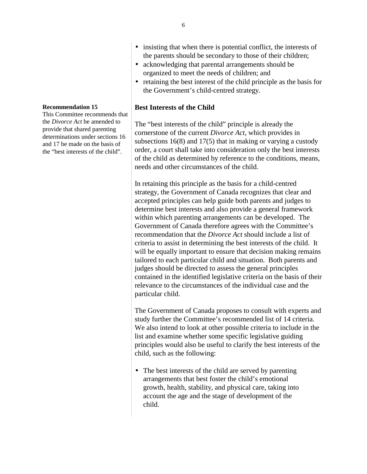- insisting that when there is potential conflict, the interests of the parents should be secondary to those of their children;
- acknowledging that parental arrangements should be organized to meet the needs of children; and
- retaining the best interest of the child principle as the basis for the Government's child-centred strategy.

## **Best Interests of the Child**

The "best interests of the child" principle is already the cornerstone of the current *Divorce Act*, which provides in subsections 16(8) and 17(5) that in making or varying a custody order, a court shall take into consideration only the best interests of the child as determined by reference to the conditions, means, needs and other circumstances of the child.

In retaining this principle as the basis for a child-centred strategy, the Government of Canada recognizes that clear and accepted principles can help guide both parents and judges to determine best interests and also provide a general framework within which parenting arrangements can be developed. The Government of Canada therefore agrees with the Committee's recommendation that the *Divorce Act* should include a list of criteria to assist in determining the best interests of the child. It will be equally important to ensure that decision making remains tailored to each particular child and situation. Both parents and judges should be directed to assess the general principles contained in the identified legislative criteria on the basis of their relevance to the circumstances of the individual case and the particular child.

The Government of Canada proposes to consult with experts and study further the Committee's recommended list of 14 criteria. We also intend to look at other possible criteria to include in the list and examine whether some specific legislative guiding principles would also be useful to clarify the best interests of the child, such as the following:

• The best interests of the child are served by parenting arrangements that best foster the child's emotional growth, health, stability, and physical care, taking into account the age and the stage of development of the child.

#### **Recommendation 15**

This Committee recommends that the *Divorce Act* be amended to provide that shared parenting determinations under sections 16 and 17 be made on the basis of the "best interests of the child".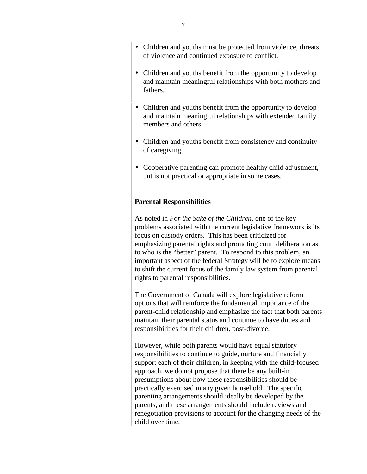- Children and youths must be protected from violence, threats of violence and continued exposure to conflict.
- Children and youths benefit from the opportunity to develop and maintain meaningful relationships with both mothers and fathers.
- Children and youths benefit from the opportunity to develop and maintain meaningful relationships with extended family members and others.
- Children and youths benefit from consistency and continuity of caregiving.
- Cooperative parenting can promote healthy child adjustment, but is not practical or appropriate in some cases.

## **Parental Responsibilities**

As noted in *For the Sake of the Children,* one of the key problems associated with the current legislative framework is its focus on custody orders. This has been criticized for emphasizing parental rights and promoting court deliberation as to who is the "better" parent. To respond to this problem, an important aspect of the federal Strategy will be to explore means to shift the current focus of the family law system from parental rights to parental responsibilities.

The Government of Canada will explore legislative reform options that will reinforce the fundamental importance of the parent-child relationship and emphasize the fact that both parents maintain their parental status and continue to have duties and responsibilities for their children, post-divorce.

However, while both parents would have equal statutory responsibilities to continue to guide, nurture and financially support each of their children, in keeping with the child-focused approach, we do not propose that there be any built-in presumptions about how these responsibilities should be practically exercised in any given household. The specific parenting arrangements should ideally be developed by the parents, and these arrangements should include reviews and renegotiation provisions to account for the changing needs of the child over time.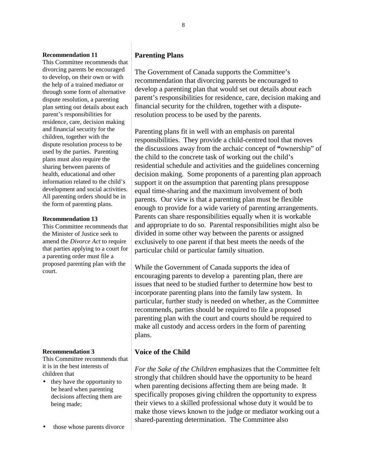#### **Recommendation 11**

This Committee recommends that divorcing parents be encouraged to develop, on their own or with the help of a trained mediator or through some form of alternative dispute resolution, a parenting plan setting out details about each parent's responsibilities for residence, care, decision making and financial security for the children, together with the dispute resolution process to be used by the parties. Parenting plans must also require the sharing between parents of health, educational and other information related to the child's development and social activities. All parenting orders should be in the form of parenting plans.

#### **Recommendation 13**

This Committee recommends that the Minister of Justice seek to amend the *Divorce Act* to require that parties applying to a court for a parenting order must file a proposed parenting plan with the court.

#### **Recommendation 3**

This Committee recommends that it is in the best interests of children that

- they have the opportunity to be heard when parenting decisions affecting them are being made;
- those whose parents divorce

## **Parenting Plans**

The Government of Canada supports the Committee's recommendation that divorcing parents be encouraged to develop a parenting plan that would set out details about each parent's responsibilities for residence, care, decision making and financial security for the children, together with a disputeresolution process to be used by the parents.

Parenting plans fit in well with an emphasis on parental responsibilities. They provide a child-centred tool that moves the discussions away from the archaic concept of **"**ownership" of the child to the concrete task of working out the child's residential schedule and activities and the guidelines concerning decision making. Some proponents of a parenting plan approach support it on the assumption that parenting plans presuppose equal time-sharing and the maximum involvement of both parents. Our view is that a parenting plan must be flexible enough to provide for a wide variety of parenting arrangements. Parents can share responsibilities equally when it is workable and appropriate to do so. Parental responsibilities might also be divided in some other way between the parents or assigned exclusively to one parent if that best meets the needs of the particular child or particular family situation.

While the Government of Canada supports the idea of encouraging parents to develop a parenting plan, there are issues that need to be studied further to determine how best to incorporate parenting plans into the family law system. In particular, further study is needed on whether, as the Committee recommends, parties should be required to file a proposed parenting plan with the court and courts should be required to make all custody and access orders in the form of parenting plans.

## **Voice of the Child**

*For the Sake of the Children* emphasizes that the Committee felt strongly that children should have the opportunity to be heard when parenting decisions affecting them are being made. It specifically proposes giving children the opportunity to express their views to a skilled professional whose duty it would be to make those views known to the judge or mediator working out a shared-parenting determination. The Committee also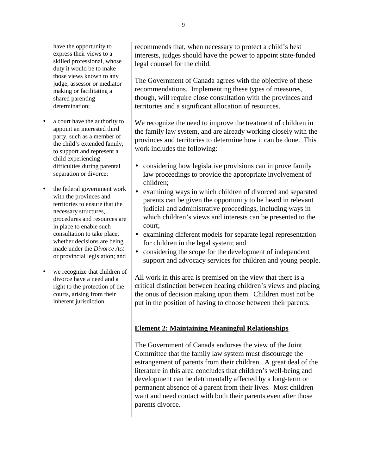have the opportunity to express their views to a skilled professional, whose duty it would be to make those views known to any judge, assessor or mediator making or facilitating a shared parenting determination;

- a court have the authority to appoint an interested third party, such as a member of the child's extended family, to support and represent a child experiencing difficulties during parental separation or divorce;
- the federal government work with the provinces and territories to ensure that the necessary structures, procedures and resources are in place to enable such consultation to take place, whether decisions are being made under the *Divorce Act* or provincial legislation; and
- we recognize that children of divorce have a need and a right to the protection of the courts, arising from their inherent jurisdiction.

recommends that, when necessary to protect a child's best interests, judges should have the power to appoint state-funded legal counsel for the child.

The Government of Canada agrees with the objective of these recommendations. Implementing these types of measures, though, will require close consultation with the provinces and territories and a significant allocation of resources.

We recognize the need to improve the treatment of children in the family law system, and are already working closely with the provinces and territories to determine how it can be done. This work includes the following:

- considering how legislative provisions can improve family law proceedings to provide the appropriate involvement of children;
- examining ways in which children of divorced and separated parents can be given the opportunity to be heard in relevant judicial and administrative proceedings, including ways in which children's views and interests can be presented to the court;
- examining different models for separate legal representation for children in the legal system; and
- considering the scope for the development of independent support and advocacy services for children and young people.

All work in this area is premised on the view that there is a critical distinction between hearing children's views and placing the onus of decision making upon them. Children must not be put in the position of having to choose between their parents.

# **Element 2: Maintaining Meaningful Relationships**

The Government of Canada endorses the view of the Joint Committee that the family law system must discourage the estrangement of parents from their children. A great deal of the literature in this area concludes that children's well-being and development can be detrimentally affected by a long-term or permanent absence of a parent from their lives. Most children want and need contact with both their parents even after those parents divorce.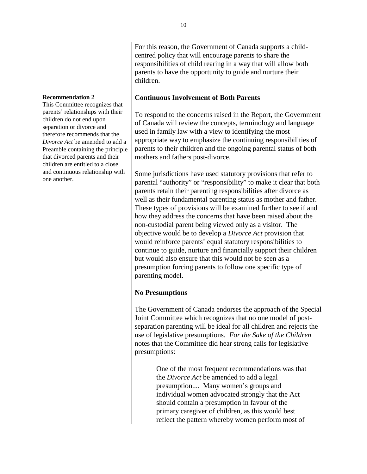## **Continuous Involvement of Both Parents**

To respond to the concerns raised in the Report, the Government of Canada will review the concepts, terminology and language used in family law with a view to identifying the most appropriate way to emphasize the continuing responsibilities of parents to their children and the ongoing parental status of both mothers and fathers post-divorce.

Some jurisdictions have used statutory provisions that refer to parental "authority" or "responsibility" to make it clear that both parents retain their parenting responsibilities after divorce as well as their fundamental parenting status as mother and father. These types of provisions will be examined further to see if and how they address the concerns that have been raised about the non-custodial parent being viewed only as a visitor. The objective would be to develop a *Divorce Act* provision that would reinforce parents' equal statutory responsibilities to continue to guide, nurture and financially support their children but would also ensure that this would not be seen as a presumption forcing parents to follow one specific type of parenting model.

# **No Presumptions**

The Government of Canada endorses the approach of the Special Joint Committee which recognizes that no one model of postseparation parenting will be ideal for all children and rejects the use of legislative presumptions. *For the Sake of the Children* notes that the Committee did hear strong calls for legislative presumptions:

> One of the most frequent recommendations was that the *Divorce Act* be amended to add a legal presumption.... Many women's groups and individual women advocated strongly that the Act should contain a presumption in favour of the primary caregiver of children, as this would best reflect the pattern whereby women perform most of

#### **Recommendation 2**

This Committee recognizes that parents' relationships with their children do not end upon separation or divorce and therefore recommends that the *Divorce Act* be amended to add a Preamble containing the principle that divorced parents and their children are entitled to a close and continuous relationship with one another.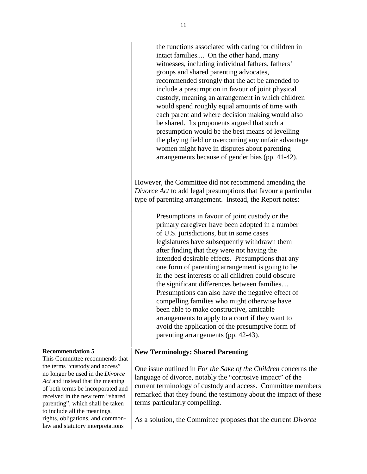the functions associated with caring for children in intact families.... On the other hand, many witnesses, including individual fathers, fathers' groups and shared parenting advocates, recommended strongly that the act be amended to include a presumption in favour of joint physical custody, meaning an arrangement in which children would spend roughly equal amounts of time with each parent and where decision making would also be shared. Its proponents argued that such a presumption would be the best means of levelling the playing field or overcoming any unfair advantage women might have in disputes about parenting arrangements because of gender bias (pp. 41-42).

However, the Committee did not recommend amending the *Divorce Act* to add legal presumptions that favour a particular type of parenting arrangement. Instead, the Report notes:

> Presumptions in favour of joint custody or the primary caregiver have been adopted in a number of U.S. jurisdictions, but in some cases legislatures have subsequently withdrawn them after finding that they were not having the intended desirable effects. Presumptions that any one form of parenting arrangement is going to be in the best interests of all children could obscure the significant differences between families.... Presumptions can also have the negative effect of compelling families who might otherwise have been able to make constructive, amicable arrangements to apply to a court if they want to avoid the application of the presumptive form of parenting arrangements (pp. 42-43).

#### **New Terminology: Shared Parenting**

One issue outlined in *For the Sake of the Children* concerns the language of divorce, notably the "corrosive impact" of the current terminology of custody and access. Committee members remarked that they found the testimony about the impact of these terms particularly compelling.

As a solution, the Committee proposes that the current *Divorce*

#### **Recommendation 5**

This Committee recommends that the terms "custody and access" no longer be used in the *Divorce Act* and instead that the meaning of both terms be incorporated and received in the new term "shared parenting", which shall be taken to include all the meanings, rights, obligations, and commonlaw and statutory interpretations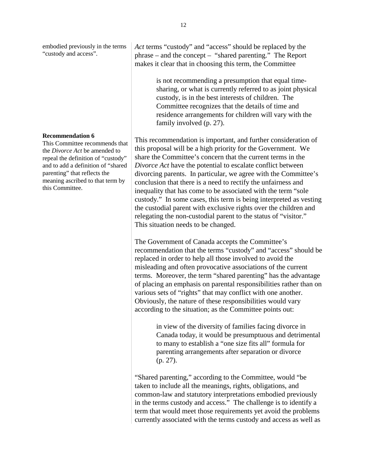embodied previously in the terms "custody and access".

#### **Recommendation 6**

This Committee recommends that the *Divorce Act* be amended to repeal the definition of "custody" and to add a definition of "shared parenting" that reflects the meaning ascribed to that term by this Committee.

*Act* terms "custody" and "access" should be replaced by the phrase – and the concept – "shared parenting." The Report makes it clear that in choosing this term, the Committee

> is not recommending a presumption that equal timesharing, or what is currently referred to as joint physical custody, is in the best interests of children. The Committee recognizes that the details of time and residence arrangements for children will vary with the family involved (p. 27).

This recommendation is important, and further consideration of this proposal will be a high priority for the Government. We share the Committee's concern that the current terms in the *Divorce Act* have the potential to escalate conflict between divorcing parents. In particular, we agree with the Committee's conclusion that there is a need to rectify the unfairness and inequality that has come to be associated with the term "sole custody." In some cases, this term is being interpreted as vesting the custodial parent with exclusive rights over the children and relegating the non-custodial parent to the status of "visitor." This situation needs to be changed.

The Government of Canada accepts the Committee's recommendation that the terms "custody" and "access" should be replaced in order to help all those involved to avoid the misleading and often provocative associations of the current terms. Moreover, the term "shared parenting" has the advantage of placing an emphasis on parental responsibilities rather than on various sets of "rights" that may conflict with one another. Obviously, the nature of these responsibilities would vary according to the situation; as the Committee points out:

> in view of the diversity of families facing divorce in Canada today, it would be presumptuous and detrimental to many to establish a "one size fits all" formula for parenting arrangements after separation or divorce (p. 27).

"Shared parenting," according to the Committee, would "be taken to include all the meanings, rights, obligations, and common-law and statutory interpretations embodied previously in the terms custody and access." The challenge is to identify a term that would meet those requirements yet avoid the problems currently associated with the terms custody and access as well as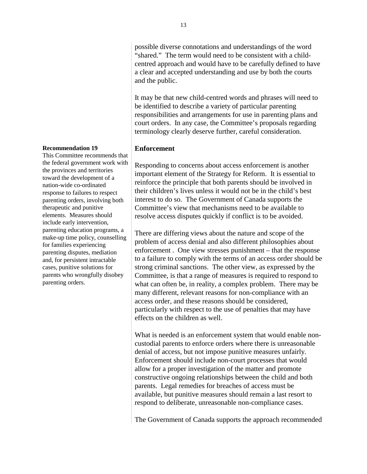possible diverse connotations and understandings of the word "shared." The term would need to be consistent with a childcentred approach and would have to be carefully defined to have a clear and accepted understanding and use by both the courts and the public.

It may be that new child-centred words and phrases will need to be identified to describe a variety of particular parenting responsibilities and arrangements for use in parenting plans and court orders. In any case, the Committee's proposals regarding terminology clearly deserve further, careful consideration.

## **Enforcement**

Responding to concerns about access enforcement is another important element of the Strategy for Reform. It is essential to reinforce the principle that both parents should be involved in their children's lives unless it would not be in the child's best interest to do so. The Government of Canada supports the Committee's view that mechanisms need to be available to resolve access disputes quickly if conflict is to be avoided.

There are differing views about the nature and scope of the problem of access denial and also different philosophies about enforcement . One view stresses punishment – that the response to a failure to comply with the terms of an access order should be strong criminal sanctions. The other view, as expressed by the Committee, is that a range of measures is required to respond to what can often be, in reality, a complex problem. There may be many different, relevant reasons for non-compliance with an access order, and these reasons should be considered, particularly with respect to the use of penalties that may have effects on the children as well.

What is needed is an enforcement system that would enable noncustodial parents to enforce orders where there is unreasonable denial of access, but not impose punitive measures unfairly. Enforcement should include non-court processes that would allow for a proper investigation of the matter and promote constructive ongoing relationships between the child and both parents. Legal remedies for breaches of access must be available, but punitive measures should remain a last resort to respond to deliberate, unreasonable non-compliance cases.

The Government of Canada supports the approach recommended

#### **Recommendation 19**

This Committee recommends that the federal government work with the provinces and territories toward the development of a nation-wide co-ordinated response to failures to respect parenting orders, involving both therapeutic and punitive elements. Measures should include early intervention, parenting education programs, a make-up time policy, counselling for families experiencing parenting disputes, mediation and, for persistent intractable cases, punitive solutions for parents who wrongfully disobey parenting orders.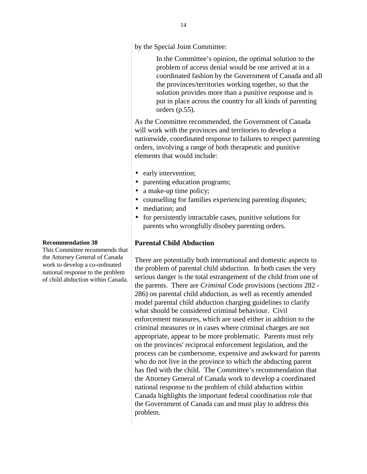by the Special Joint Committee:

In the Committee's opinion, the optimal solution to the problem of access denial would be one arrived at in a coordinated fashion by the Government of Canada and all the provinces/territories working together, so that the solution provides more than a punitive response and is put in place across the country for all kinds of parenting orders (p.55).

As the Committee recommended, the Government of Canada will work with the provinces and territories to develop a nationwide, coordinated response to failures to respect parenting orders, involving a range of both therapeutic and punitive elements that would include:

- early intervention;
- parenting education programs;
- a make-up time policy;
- counselling for families experiencing parenting disputes;
- mediation: and
- for persistently intractable cases, punitive solutions for parents who wrongfully disobey parenting orders.

#### **Parental Child Abduction**

There are potentially both international and domestic aspects to the problem of parental child abduction. In both cases the very serious danger is the total estrangement of the child from one of the parents. There are *Criminal Code* provisions (sections 282 - 286) on parental child abduction, as well as recently amended model parental child abduction charging guidelines to clarify what should be considered criminal behaviour. Civil enforcement measures, which are used either in addition to the criminal measures or in cases where criminal charges are not appropriate, appear to be more problematic. Parents must rely on the provinces' reciprocal enforcement legislation, and the process can be cumbersome, expensive and awkward for parents who do not live in the province to which the abducting parent has fled with the child. The Committee's recommendation that the Attorney General of Canada work to develop a coordinated national response to the problem of child abduction within Canada highlights the important federal coordination role that the Government of Canada can and must play to address this problem.

#### **Recommendation 38**

This Committee recommends that the Attorney General of Canada work to develop a co-ordinated national response to the problem of child abduction within Canada.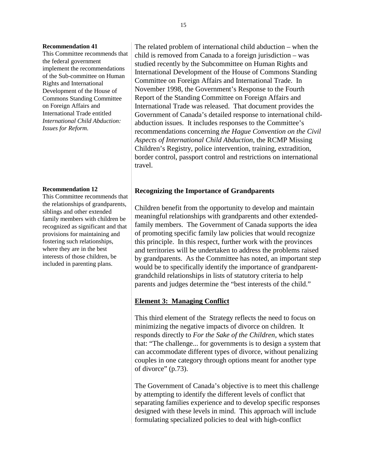#### **Recommendation 41**

This Committee recommends that the federal government implement the recommendations of the Sub-committee on Human Rights and International Development of the House of Commons Standing Committee on Foreign Affairs and International Trade entitled *International Child Abduction: Issues for Reform.*

#### **Recommendation 12**

This Committee recommends that the relationships of grandparents, siblings and other extended family members with children be recognized as significant and that provisions for maintaining and fostering such relationships, where they are in the best interests of those children, be included in parenting plans.

The related problem of international child abduction – when the child is removed from Canada to a foreign jurisdiction – was studied recently by the Subcommittee on Human Rights and International Development of the House of Commons Standing Committee on Foreign Affairs and International Trade. In November 1998, the Government's Response to the Fourth Report of the Standing Committee on Foreign Affairs and International Trade was released. That document provides the Government of Canada's detailed response to international childabduction issues. It includes responses to the Committee's recommendations concerning *the Hague Convention on the Civil Aspects of International Child Abduction*, the RCMP Missing Children's Registry, police intervention, training, extradition, border control, passport control and restrictions on international travel.

#### **Recognizing the Importance of Grandparents**

Children benefit from the opportunity to develop and maintain meaningful relationships with grandparents and other extendedfamily members. The Government of Canada supports the idea of promoting specific family law policies that would recognize this principle. In this respect, further work with the provinces and territories will be undertaken to address the problems raised by grandparents. As the Committee has noted, an important step would be to specifically identify the importance of grandparentgrandchild relationships in lists of statutory criteria to help parents and judges determine the "best interests of the child."

#### **Element 3: Managing Conflict**

This third element of the Strategy reflects the need to focus on minimizing the negative impacts of divorce on children. It responds directly to *For the Sake of the Children*, which states that: "The challenge... for governments is to design a system that can accommodate different types of divorce, without penalizing couples in one category through options meant for another type of divorce" (p.73).

The Government of Canada's objective is to meet this challenge by attempting to identify the different levels of conflict that separating families experience and to develop specific responses designed with these levels in mind. This approach will include formulating specialized policies to deal with high-conflict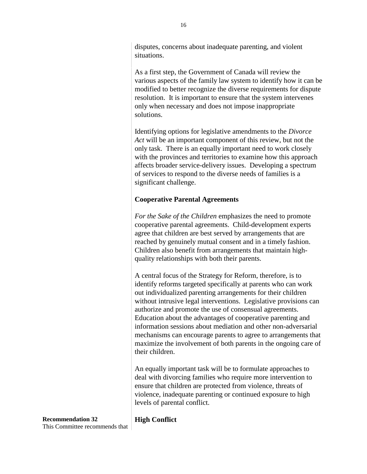disputes, concerns about inadequate parenting, and violent situations.

As a first step, the Government of Canada will review the various aspects of the family law system to identify how it can be modified to better recognize the diverse requirements for dispute resolution. It is important to ensure that the system intervenes only when necessary and does not impose inappropriate solutions.

Identifying options for legislative amendments to the *Divorce Act* will be an important component of this review, but not the only task. There is an equally important need to work closely with the provinces and territories to examine how this approach affects broader service-delivery issues. Developing a spectrum of services to respond to the diverse needs of families is a significant challenge.

# **Cooperative Parental Agreements**

*For the Sake of the Children* emphasizes the need to promote cooperative parental agreements. Child-development experts agree that children are best served by arrangements that are reached by genuinely mutual consent and in a timely fashion. Children also benefit from arrangements that maintain highquality relationships with both their parents.

A central focus of the Strategy for Reform, therefore, is to identify reforms targeted specifically at parents who can work out individualized parenting arrangements for their children without intrusive legal interventions. Legislative provisions can authorize and promote the use of consensual agreements. Education about the advantages of cooperative parenting and information sessions about mediation and other non-adversarial mechanisms can encourage parents to agree to arrangements that maximize the involvement of both parents in the ongoing care of their children.

An equally important task will be to formulate approaches to deal with divorcing families who require more intervention to ensure that children are protected from violence, threats of violence, inadequate parenting or continued exposure to high levels of parental conflict.

**High Conflict**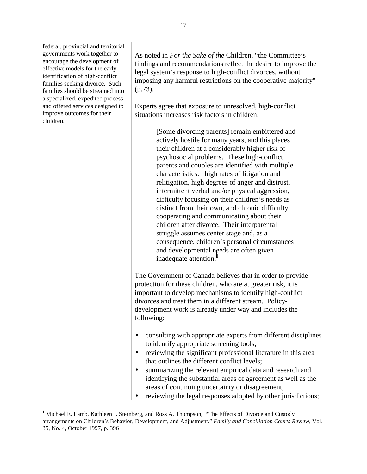federal, provincial and territorial governments work together to encourage the development of effective models for the early identification of high-conflict families seeking divorce. Such families should be streamed into a specialized, expedited process and offered services designed to improve outcomes for their children.

 $\overline{a}$ 

As noted in *For the Sake of the* Children, "the Committee's findings and recommendations reflect the desire to improve the legal system's response to high-conflict divorces, without imposing any harmful restrictions on the cooperative majority" (p.73).

Experts agree that exposure to unresolved, high-conflict situations increases risk factors in children:

> [Some divorcing parents] remain embittered and actively hostile for many years, and this places their children at a considerably higher risk of psychosocial problems. These high-conflict parents and couples are identified with multiple characteristics: high rates of litigation and relitigation, high degrees of anger and distrust, intermittent verbal and/or physical aggression, difficulty focusing on their children's needs as distinct from their own, and chronic difficulty cooperating and communicating about their children after divorce. Their interparental struggle assumes center stage and, as a consequence, children's personal circumstances and developmental needs are often given inadequate attention. $<sup>1</sup>$ </sup>

The Government of Canada believes that in order to provide protection for these children, who are at greater risk, it is important to develop mechanisms to identify high-conflict divorces and treat them in a different stream. Policydevelopment work is already under way and includes the following:

- consulting with appropriate experts from different disciplines to identify appropriate screening tools;
- reviewing the significant professional literature in this area that outlines the different conflict levels;
- summarizing the relevant empirical data and research and identifying the substantial areas of agreement as well as the areas of continuing uncertainty or disagreement;
- reviewing the legal responses adopted by other jurisdictions;

<sup>&</sup>lt;sup>1</sup> Michael E. Lamb, Kathleen J. Sternberg, and Ross A. Thompson, "The Effects of Divorce and Custody arrangements on Children's Behavior, Development, and Adjustment." *Family and Conciliation Courts Review*, Vol. 35, No. 4, October 1997, p. 396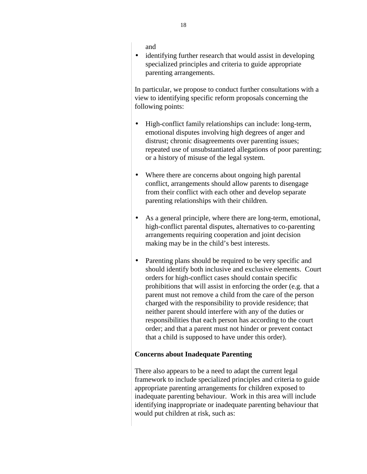and

• identifying further research that would assist in developing specialized principles and criteria to guide appropriate parenting arrangements.

In particular, we propose to conduct further consultations with a view to identifying specific reform proposals concerning the following points:

- High-conflict family relationships can include: long-term, emotional disputes involving high degrees of anger and distrust; chronic disagreements over parenting issues; repeated use of unsubstantiated allegations of poor parenting; or a history of misuse of the legal system.
- Where there are concerns about ongoing high parental conflict, arrangements should allow parents to disengage from their conflict with each other and develop separate parenting relationships with their children.
- As a general principle, where there are long-term, emotional, high-conflict parental disputes, alternatives to co-parenting arrangements requiring cooperation and joint decision making may be in the child's best interests.
- Parenting plans should be required to be very specific and should identify both inclusive and exclusive elements. Court orders for high-conflict cases should contain specific prohibitions that will assist in enforcing the order (e.g. that a parent must not remove a child from the care of the person charged with the responsibility to provide residence; that neither parent should interfere with any of the duties or responsibilities that each person has according to the court order; and that a parent must not hinder or prevent contact that a child is supposed to have under this order).

## **Concerns about Inadequate Parenting**

There also appears to be a need to adapt the current legal framework to include specialized principles and criteria to guide appropriate parenting arrangements for children exposed to inadequate parenting behaviour. Work in this area will include identifying inappropriate or inadequate parenting behaviour that would put children at risk, such as: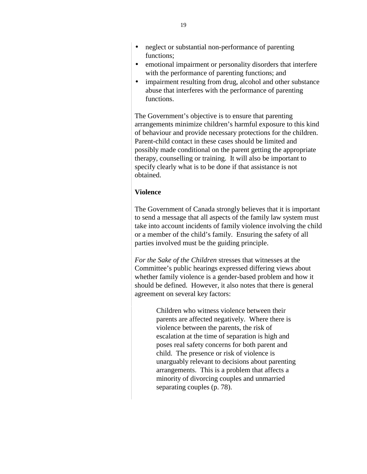- neglect or substantial non-performance of parenting functions;
- emotional impairment or personality disorders that interfere with the performance of parenting functions; and
- impairment resulting from drug, alcohol and other substance abuse that interferes with the performance of parenting functions.

The Government's objective is to ensure that parenting arrangements minimize children's harmful exposure to this kind of behaviour and provide necessary protections for the children. Parent-child contact in these cases should be limited and possibly made conditional on the parent getting the appropriate therapy, counselling or training. It will also be important to specify clearly what is to be done if that assistance is not obtained.

# **Violence**

The Government of Canada strongly believes that it is important to send a message that all aspects of the family law system must take into account incidents of family violence involving the child or a member of the child's family. Ensuring the safety of all parties involved must be the guiding principle.

*For the Sake of the Children* stresses that witnesses at the Committee's public hearings expressed differing views about whether family violence is a gender-based problem and how it should be defined. However, it also notes that there is general agreement on several key factors:

> Children who witness violence between their parents are affected negatively. Where there is violence between the parents, the risk of escalation at the time of separation is high and poses real safety concerns for both parent and child. The presence or risk of violence is unarguably relevant to decisions about parenting arrangements. This is a problem that affects a minority of divorcing couples and unmarried separating couples (p. 78).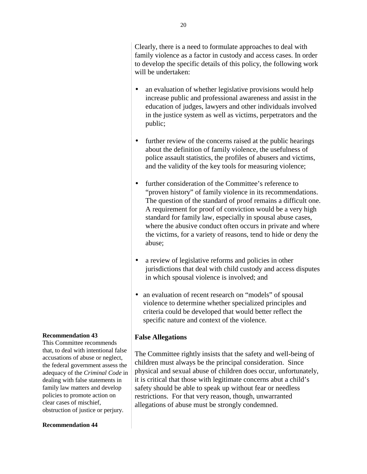Clearly, there is a need to formulate approaches to deal with family violence as a factor in custody and access cases. In order to develop the specific details of this policy, the following work will be undertaken:

- an evaluation of whether legislative provisions would help increase public and professional awareness and assist in the education of judges, lawyers and other individuals involved in the justice system as well as victims, perpetrators and the public;
- further review of the concerns raised at the public hearings about the definition of family violence, the usefulness of police assault statistics, the profiles of abusers and victims, and the validity of the key tools for measuring violence;
- further consideration of the Committee's reference to "proven history" of family violence in its recommendations. The question of the standard of proof remains a difficult one. A requirement for proof of conviction would be a very high standard for family law, especially in spousal abuse cases, where the abusive conduct often occurs in private and where the victims, for a variety of reasons, tend to hide or deny the abuse;
- a review of legislative reforms and policies in other jurisdictions that deal with child custody and access disputes in which spousal violence is involved; and
- an evaluation of recent research on "models" of spousal violence to determine whether specialized principles and criteria could be developed that would better reflect the specific nature and context of the violence.

## **False Allegations**

The Committee rightly insists that the safety and well-being of children must always be the principal consideration. Since physical and sexual abuse of children does occur, unfortunately, it is critical that those with legitimate concerns abut a child's safety should be able to speak up without fear or needless restrictions. For that very reason, though, unwarranted allegations of abuse must be strongly condemned.

#### **Recommendation 43**

This Committee recommends that, to deal with intentional false accusations of abuse or neglect, the federal government assess the adequacy of the *Criminal Code* in dealing with false statements in family law matters and develop policies to promote action on clear cases of mischief, obstruction of justice or perjury.

#### **Recommendation 44**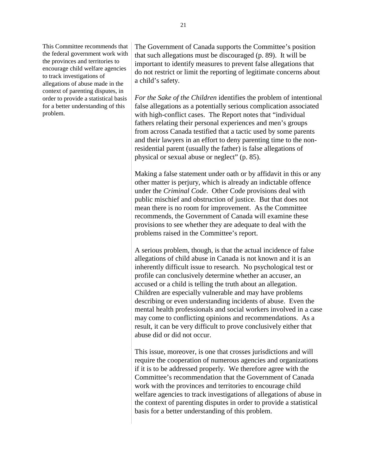This Committee recommends that the federal government work with the provinces and territories to encourage child welfare agencies to track investigations of allegations of abuse made in the context of parenting disputes, in order to provide a statistical basis for a better understanding of this problem.

The Government of Canada supports the Committee's position that such allegations must be discouraged (p. 89). It will be important to identify measures to prevent false allegations that do not restrict or limit the reporting of legitimate concerns about a child's safety.

*For the Sake of the Children* identifies the problem of intentional false allegations as a potentially serious complication associated with high-conflict cases. The Report notes that "individual fathers relating their personal experiences and men's groups from across Canada testified that a tactic used by some parents and their lawyers in an effort to deny parenting time to the nonresidential parent (usually the father) is false allegations of physical or sexual abuse or neglect" (p. 85).

Making a false statement under oath or by affidavit in this or any other matter is perjury, which is already an indictable offence under the *Criminal Code*. Other Code provisions deal with public mischief and obstruction of justice. But that does not mean there is no room for improvement. As the Committee recommends, the Government of Canada will examine these provisions to see whether they are adequate to deal with the problems raised in the Committee's report.

A serious problem, though, is that the actual incidence of false allegations of child abuse in Canada is not known and it is an inherently difficult issue to research. No psychological test or profile can conclusively determine whether an accuser, an accused or a child is telling the truth about an allegation. Children are especially vulnerable and may have problems describing or even understanding incidents of abuse. Even the mental health professionals and social workers involved in a case may come to conflicting opinions and recommendations. As a result, it can be very difficult to prove conclusively either that abuse did or did not occur.

This issue, moreover, is one that crosses jurisdictions and will require the cooperation of numerous agencies and organizations if it is to be addressed properly. We therefore agree with the Committee's recommendation that the Government of Canada work with the provinces and territories to encourage child welfare agencies to track investigations of allegations of abuse in the context of parenting disputes in order to provide a statistical basis for a better understanding of this problem.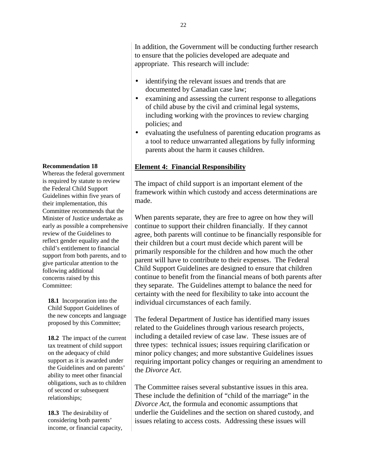**Recommendation 18**

Whereas the federal government is required by statute to review the Federal Child Support Guidelines within five years of their implementation, this Committee recommends that the Minister of Justice undertake as early as possible a comprehensive review of the Guidelines to reflect gender equality and the child's entitlement to financial support from both parents, and to give particular attention to the following additional concerns raised by this Committee:

**18.1** Incorporation into the Child Support Guidelines of the new concepts and language proposed by this Committee;

**18.2** The impact of the current tax treatment of child support on the adequacy of child support as it is awarded under the Guidelines and on parents' ability to meet other financial obligations, such as to children of second or subsequent relationships;

**18.3** The desirability of considering both parents' income, or financial capacity, In addition, the Government will be conducting further research to ensure that the policies developed are adequate and appropriate. This research will include:

- identifying the relevant issues and trends that are documented by Canadian case law;
- examining and assessing the current response to allegations of child abuse by the civil and criminal legal systems, including working with the provinces to review charging policies; and
- evaluating the usefulness of parenting education programs as a tool to reduce unwarranted allegations by fully informing parents about the harm it causes children.

# **Element 4: Financial Responsibility**

The impact of child support is an important element of the framework within which custody and access determinations are made.

When parents separate, they are free to agree on how they will continue to support their children financially. If they cannot agree, both parents will continue to be financially responsible for their children but a court must decide which parent will be primarily responsible for the children and how much the other parent will have to contribute to their expenses. The Federal Child Support Guidelines are designed to ensure that children continue to benefit from the financial means of both parents after they separate. The Guidelines attempt to balance the need for certainty with the need for flexibility to take into account the individual circumstances of each family.

The federal Department of Justice has identified many issues related to the Guidelines through various research projects, including a detailed review of case law. These issues are of three types: technical issues; issues requiring clarification or minor policy changes; and more substantive Guidelines issues requiring important policy changes or requiring an amendment to the *Divorce Act*.

The Committee raises several substantive issues in this area. These include the definition of "child of the marriage" in the *Divorce Act*, the formula and economic assumptions that underlie the Guidelines and the section on shared custody, and issues relating to access costs. Addressing these issues will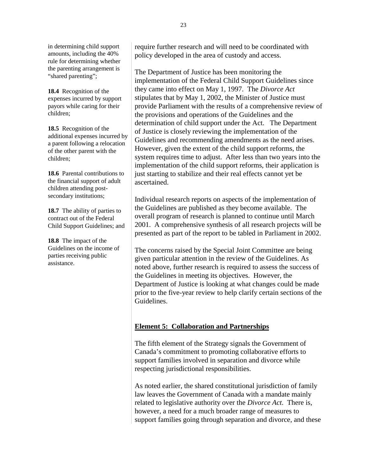in determining child support amounts, including the 40% rule for determining whether the parenting arrangement is "shared parenting";

**18.4** Recognition of the expenses incurred by support payors while caring for their children;

**18.5** Recognition of the additional expenses incurred by a parent following a relocation of the other parent with the children;

**18.6** Parental contributions to the financial support of adult children attending postsecondary institutions;

**18.7** The ability of parties to contract out of the Federal Child Support Guidelines; and

**18.8** The impact of the Guidelines on the income of parties receiving public assistance.

require further research and will need to be coordinated with policy developed in the area of custody and access.

The Department of Justice has been monitoring the implementation of the Federal Child Support Guidelines since they came into effect on May 1, 1997. The *Divorce Act* stipulates that by May 1, 2002, the Minister of Justice must provide Parliament with the results of a comprehensive review of the provisions and operations of the Guidelines and the determination of child support under the Act. The Department of Justice is closely reviewing the implementation of the Guidelines and recommending amendments as the need arises. However, given the extent of the child support reforms, the system requires time to adjust. After less than two years into the implementation of the child support reforms, their application is just starting to stabilize and their real effects cannot yet be ascertained.

Individual research reports on aspects of the implementation of the Guidelines are published as they become available. The overall program of research is planned to continue until March 2001. A comprehensive synthesis of all research projects will be presented as part of the report to be tabled in Parliament in 2002.

The concerns raised by the Special Joint Committee are being given particular attention in the review of the Guidelines. As noted above, further research is required to assess the success of the Guidelines in meeting its objectives. However, the Department of Justice is looking at what changes could be made prior to the five-year review to help clarify certain sections of the Guidelines.

## **Element 5: Collaboration and Partnerships**

The fifth element of the Strategy signals the Government of Canada's commitment to promoting collaborative efforts to support families involved in separation and divorce while respecting jurisdictional responsibilities.

As noted earlier, the shared constitutional jurisdiction of family law leaves the Government of Canada with a mandate mainly related to legislative authority over the *Divorce Act*. There is, however, a need for a much broader range of measures to support families going through separation and divorce, and these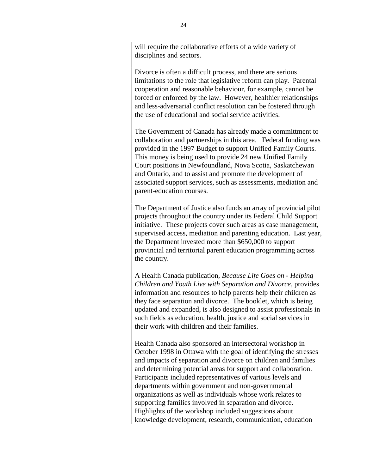will require the collaborative efforts of a wide variety of disciplines and sectors.

Divorce is often a difficult process, and there are serious limitations to the role that legislative reform can play. Parental cooperation and reasonable behaviour, for example, cannot be forced or enforced by the law. However, healthier relationships and less-adversarial conflict resolution can be fostered through the use of educational and social service activities.

The Government of Canada has already made a committment to collaboration and partnerships in this area. Federal funding was provided in the 1997 Budget to support Unified Family Courts. This money is being used to provide 24 new Unified Family Court positions in Newfoundland, Nova Scotia, Saskatchewan and Ontario, and to assist and promote the development of associated support services, such as assessments, mediation and parent-education courses.

The Department of Justice also funds an array of provincial pilot projects throughout the country under its Federal Child Support initiative. These projects cover such areas as case management, supervised access, mediation and parenting education. Last year, the Department invested more than \$650,000 to support provincial and territorial parent education programming across the country.

A Health Canada publication, *Because Life Goes on - Helping Children and Youth Live with Separation and Divorce*, provides information and resources to help parents help their children as they face separation and divorce. The booklet, which is being updated and expanded, is also designed to assist professionals in such fields as education, health, justice and social services in their work with children and their families.

Health Canada also sponsored an intersectoral workshop in October 1998 in Ottawa with the goal of identifying the stresses and impacts of separation and divorce on children and families and determining potential areas for support and collaboration. Participants included representatives of various levels and departments within government and non-governmental organizations as well as individuals whose work relates to supporting families involved in separation and divorce. Highlights of the workshop included suggestions about knowledge development, research, communication, education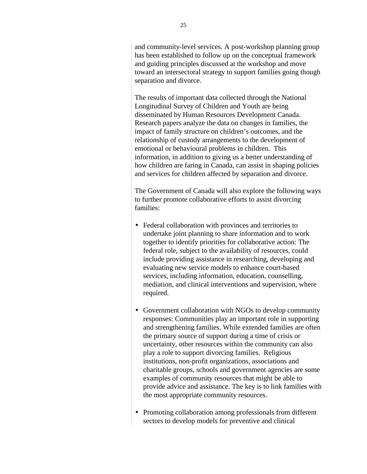and community-level services. A post-workshop planning group has been established to follow up on the conceptual framework and guiding principles discussed at the workshop and move toward an intersectoral strategy to support families going though separation and divorce.

The results of important data collected through the National Longitudinal Survey of Children and Youth are being disseminated by Human Resources Development Canada. Research papers analyze the data on changes in families, the impact of family structure on children's outcomes, and the relationship of custody arrangements to the development of emotional or behavioural problems in children. This information, in addition to giving us a better understanding of how children are faring in Canada, can assist in shaping policies and services for children affected by separation and divorce.

The Government of Canada will also explore the following ways to further promote collaborative efforts to assist divorcing families:

- Federal collaboration with provinces and territories to undertake joint planning to share information and to work together to identify priorities for collaborative action: The federal role, subject to the availability of resources, could include providing assistance in researching, developing and evaluating new service models to enhance court-based services, including information, education, counselling, mediation, and clinical interventions and supervision, where required.
- Government collaboration with NGOs to develop community responses: Communities play an important role in supporting and strengthening families. While extended families are often the primary source of support during a time of crisis or uncertainty, other resources within the community can also play a role to support divorcing families. Religious institutions, non-profit organizations, associations and charitable groups, schools and government agencies are some examples of community resources that might be able to provide advice and assistance. The key is to link families with the most appropriate community resources.
- Promoting collaboration among professionals from different sectors to develop models for preventive and clinical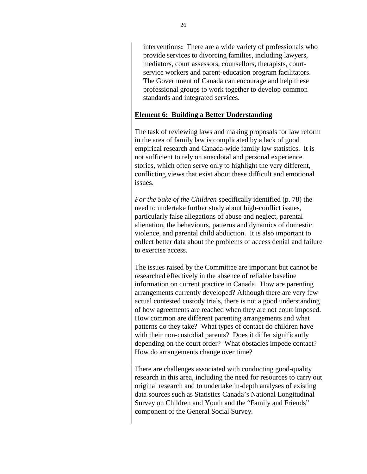interventions**:** There are a wide variety of professionals who provide services to divorcing families, including lawyers, mediators, court assessors, counsellors, therapists, courtservice workers and parent-education program facilitators. The Government of Canada can encourage and help these professional groups to work together to develop common standards and integrated services.

## **Element 6: Building a Better Understanding**

The task of reviewing laws and making proposals for law reform in the area of family law is complicated by a lack of good empirical research and Canada-wide family law statistics. It is not sufficient to rely on anecdotal and personal experience stories, which often serve only to highlight the very different, conflicting views that exist about these difficult and emotional issues.

*For the Sake of the Children* specifically identified (p. 78) the need to undertake further study about high-conflict issues, particularly false allegations of abuse and neglect, parental alienation, the behaviours, patterns and dynamics of domestic violence, and parental child abduction. It is also important to collect better data about the problems of access denial and failure to exercise access.

The issues raised by the Committee are important but cannot be researched effectively in the absence of reliable baseline information on current practice in Canada. How are parenting arrangements currently developed? Although there are very few actual contested custody trials, there is not a good understanding of how agreements are reached when they are not court imposed. How common are different parenting arrangements and what patterns do they take? What types of contact do children have with their non-custodial parents? Does it differ significantly depending on the court order? What obstacles impede contact? How do arrangements change over time?

There are challenges associated with conducting good-quality research in this area, including the need for resources to carry out original research and to undertake in-depth analyses of existing data sources such as Statistics Canada's National Longitudinal Survey on Children and Youth and the "Family and Friends" component of the General Social Survey.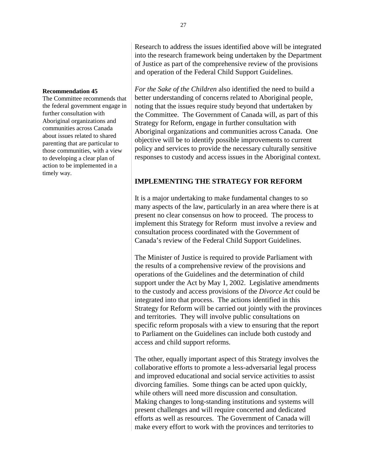Research to address the issues identified above will be integrated into the research framework being undertaken by the Department of Justice as part of the comprehensive review of the provisions and operation of the Federal Child Support Guidelines.

*For the Sake of the Children* also identified the need to build a better understanding of concerns related to Aboriginal people, noting that the issues require study beyond that undertaken by the Committee. The Government of Canada will, as part of this Strategy for Reform, engage in further consultation with Aboriginal organizations and communities across Canada. One objective will be to identify possible improvements to current policy and services to provide the necessary culturally sensitive responses to custody and access issues in the Aboriginal context.

# **IMPLEMENTING THE STRATEGY FOR REFORM**

It is a major undertaking to make fundamental changes to so many aspects of the law, particularly in an area where there is at present no clear consensus on how to proceed. The process to implement this Strategy for Reform must involve a review and consultation process coordinated with the Government of Canada's review of the Federal Child Support Guidelines.

The Minister of Justice is required to provide Parliament with the results of a comprehensive review of the provisions and operations of the Guidelines and the determination of child support under the Act by May 1, 2002. Legislative amendments to the custody and access provisions of the *Divorce Act* could be integrated into that process. The actions identified in this Strategy for Reform will be carried out jointly with the provinces and territories. They will involve public consultations on specific reform proposals with a view to ensuring that the report to Parliament on the Guidelines can include both custody and access and child support reforms.

The other, equally important aspect of this Strategy involves the collaborative efforts to promote a less-adversarial legal process and improved educational and social service activities to assist divorcing families. Some things can be acted upon quickly, while others will need more discussion and consultation. Making changes to long-standing institutions and systems will present challenges and will require concerted and dedicated efforts as well as resources. The Government of Canada will make every effort to work with the provinces and territories to

#### **Recommendation 45**

The Committee recommends that the federal government engage in further consultation with Aboriginal organizations and communities across Canada about issues related to shared parenting that are particular to those communities, with a view to developing a clear plan of action to be implemented in a timely way.